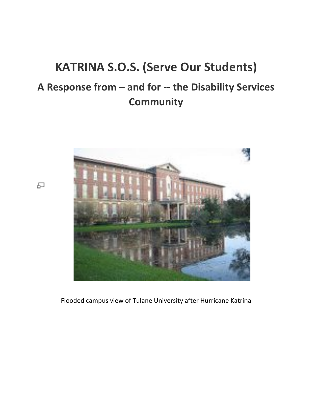# **KATRINA S.O.S. (Serve Our Students)** A Response from - and for -- the Disability Services **Community**



Flooded campus view of Tulane University after Hurricane Katrina

品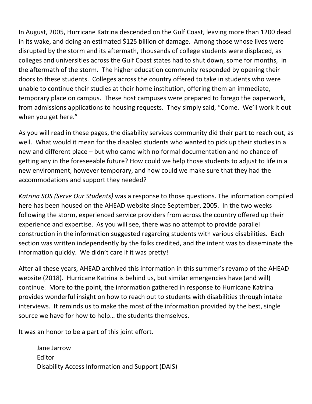In August, 2005, Hurricane Katrina descended on the Gulf Coast, leaving more than 1200 dead in its wake, and doing an estimated \$125 billion of damage. Among those whose lives were disrupted by the storm and its aftermath, thousands of college students were displaced, as colleges and universities across the Gulf Coast states had to shut down, some for months, in the aftermath of the storm. The higher education community responded by opening their doors to these students. Colleges across the country offered to take in students who were unable to continue their studies at their home institution, offering them an immediate, temporary place on campus. These host campuses were prepared to forego the paperwork, from admissions applications to housing requests. They simply said, "Come. We'll work it out when you get here."

As you will read in these pages, the disability services community did their part to reach out, as well. What would it mean for the disabled students who wanted to pick up their studies in a new and different place – but who came with no formal documentation and no chance of getting any in the foreseeable future? How could we help those students to adjust to life in a new environment, however temporary, and how could we make sure that they had the accommodations and support they needed?

*Katrina SOS (Serve Our Students)* was a response to those questions. The information compiled here has been housed on the AHEAD website since September, 2005. In the two weeks following the storm, experienced service providers from across the country offered up their experience and expertise. As you will see, there was no attempt to provide parallel construction in the information suggested regarding students with various disabilities. Each section was written independently by the folks credited, and the intent was to disseminate the information quickly. We didn't care if it was pretty!

After all these years, AHEAD archived this information in this summer's revamp of the AHEAD website (2018). Hurricane Katrina is behind us, but similar emergencies have (and will) continue. More to the point, the information gathered in response to Hurricane Katrina provides wonderful insight on how to reach out to students with disabilities through intake interviews. It reminds us to make the most of the information provided by the best, single source we have for how to help... the students themselves.

It was an honor to be a part of this joint effort.

Jane Jarrow Editor Disability Access Information and Support (DAIS)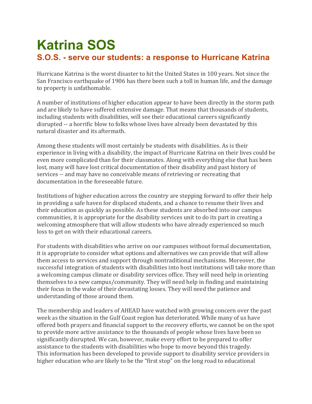## **Katrina SOS S.O.S. - serve our students: a response to Hurricane Katrina**

Hurricane Katrina is the worst disaster to hit the United States in 100 years. Not since the San Francisco earthquake of 1906 has there been such a toll in human life, and the damage to property is unfathomable.

A number of institutions of higher education appear to have been directly in the storm path and are likely to have suffered extensive damage. That means that thousands of students, including students with disabilities, will see their educational careers significantly disrupted -- a horrific blow to folks whose lives have already been devastated by this natural disaster and its aftermath.

Among these students will most certainly be students with disabilities. As is their experience in living with a disability, the impact of Hurricane Katrina on their lives could be even more complicated than for their classmates. Along with everything else that has been lost, many will have lost critical documentation of their disability and past history of services -- and may have no conceivable means of retrieving or recreating that documentation in the foreseeable future.

Institutions of higher education across the country are stepping forward to offer their help in providing a safe haven for displaced students, and a chance to resume their lives and their education as quickly as possible. As these students are absorbed into our campus communities, it is appropriate for the disability services unit to do its part in creating a welcoming atmosphere that will allow students who have already experienced so much loss to get on with their educational careers.

For students with disabilities who arrive on our campuses without formal documentation, it is appropriate to consider what options and alternatives we can provide that will allow them access to services and support through nontraditional mechanisms. Moreover, the successful integration of students with disabilities into host institutions will take more than a welcoming campus climate or disability services office. They will need help in orienting themselves to a new campus/community. They will need help in finding and maintaining their focus in the wake of their devastating losses. They will need the patience and understanding of those around them.

The membership and leaders of AHEAD have watched with growing concern over the past week as the situation in the Gulf Coast region has deteriorated. While many of us have offered both prayers and financial support to the recovery efforts, we cannot be on the spot to provide more active assistance to the thousands of people whose lives have been so significantly disrupted. We can, however, make every effort to be prepared to offer assistance to the students with disabilities who hope to move beyond this tragedy. This information has been developed to provide support to disability service providers in higher education who are likely to be the "first stop" on the long road to educational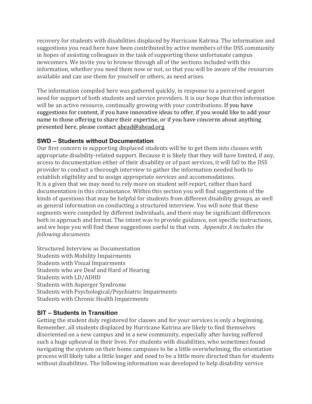recovery for students with disabilities displaced by Hurricane Katrina. The information and suggestions you read here have been contributed by active members of the DSS community in hopes of assisting colleagues in the task of supporting these unfortunate campus newcomers. We invite you to browse through all of the sections included with this information, whether you need them now or not, so that you will be aware of the resources available and can use them for yourself or others, as need arises.

The information compiled here was gathered quickly, in response to a perceived urgent need for support of both students and service providers. It is our hope that this information will be an active resource, continually growing with your contributions. If you have suggestions for content, if you have innovative ideas to offer, if you would like to add your name to those offering to share their expertise, or if you have concerns about anything presented here, please contact ahead@ahead.org

#### **SWD – Students without Documentation**

Our first concern in supporting displaced students will be to get them into classes with appropriate disability-related support. Because it is likely that they will have limited, if any, access to documentation either of their disability or of past services, it will fall to the DSS provider to conduct a thorough interview to gather the information needed both to establish eligibility and to assign appropriate services and accommodations. It is a given that we may need to rely more on student self-report, rather than hard documentation in this circumstance. Within this section you will find suggestions of the kinds of questions that may be helpful for students from different disability groups, as well as general information on conducting a structured interview. You will note that these segments were compiled by different individuals, and there may be significant differences both in approach and format. The intent was to provide guidance, not specific instructions, and we hope you will find these suggestions useful in that vein. Appendix A includes the *following documents.*

Structured Interview as Documentation Students with Mobility Impairments Students with Visual Impairments Students who are Deaf and Hard of Hearing Students with LD/ADHD Students with Asperger Syndrome Students with Psychological/Psychiatric Impairments Students with Chronic Health Impairments

#### **SIT – Students in Transition**

Getting the student duly registered for classes and for your services is only a beginning. Remember, all students displaced by Hurricane Katrina are likely to find themselves disoriented on a new campus and in a new community, especially after having suffered such a huge upheaval in their lives. For students with disabilities, who sometimes found navigating the system on their home campuses to be a little overwhelming, the orientation process will likely take a little longer and need to be a little more directed than for students without disabilities. The following information was developed to help disability service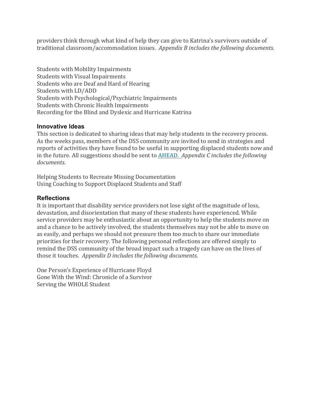providers think through what kind of help they can give to Katrina's survivors outside of traditional classroom/accommodation issues. Appendix *B* includes the following documents.

Students with Mobility Impairments Students with Visual Impairments Students who are Deaf and Hard of Hearing Students with LD/ADD Students with Psychological/Psychiatric Impairments Students with Chronic Health Impairments Recording for the Blind and Dyslexic and Hurricane Katrina

#### **Innovative Ideas**

This section is dedicated to sharing ideas that may help students in the recovery process. As the weeks pass, members of the DSS community are invited to send in strategies and reports of activities they have found to be useful in supporting displaced students now and in the future. All suggestions should be sent to AHEAD. *Appendix C includes the following documents.*

Helping Students to Recreate Missing Documentation Using Coaching to Support Displaced Students and Staff

#### **Reflections**

It is important that disability service providers not lose sight of the magnitude of loss, devastation, and disorientation that many of these students have experienced. While service providers may be enthusiastic about an opportunity to help the students move on and a chance to be actively involved, the students themselves may not be able to move on as easily, and perhaps we should not pressure them too much to share our immediate priorities for their recovery. The following personal reflections are offered simply to remind the DSS community of the broad impact such a tragedy can have on the lives of those it touches. Appendix *D* includes the following documents.

One Person's Experience of Hurricane Floyd Gone With the Wind: Chronicle of a Survivor Serving the WHOLE Student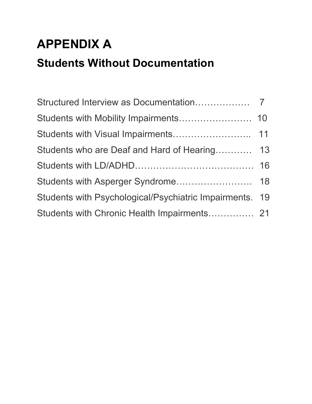# **APPENDIX A Students Without Documentation**

| Students who are Deaf and Hard of Hearing 13            |  |
|---------------------------------------------------------|--|
|                                                         |  |
|                                                         |  |
| Students with Psychological/Psychiatric Impairments. 19 |  |
| Students with Chronic Health Impairments 21             |  |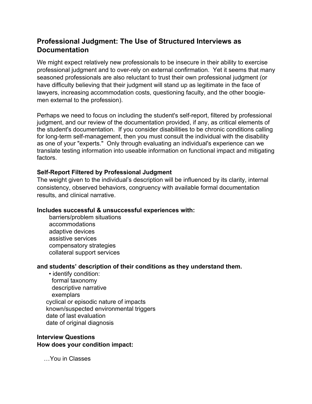### **Professional Judgment: The Use of Structured Interviews as Documentation**

We might expect relatively new professionals to be insecure in their ability to exercise professional judgment and to over-rely on external confirmation. Yet it seems that many seasoned professionals are also reluctant to trust their own professional judgment (or have difficulty believing that their judgment will stand up as legitimate in the face of lawyers, increasing accommodation costs, questioning faculty, and the other boogiemen external to the profession).

Perhaps we need to focus on including the student's self-report, filtered by professional judgment, and our review of the documentation provided, if any, as critical elements of the student's documentation. If you consider disabilities to be chronic conditions calling for long-term self-management, then you must consult the individual with the disability as one of your "experts." Only through evaluating an individual's experience can we translate testing information into useable information on functional impact and mitigating factors.

#### **Self-Report Filtered by Professional Judgment**

The weight given to the individual's description will be influenced by its clarity, internal consistency, observed behaviors, congruency with available formal documentation results, and clinical narrative.

#### **Includes successful & unsuccessful experiences with:**

barriers/problem situations accommodations adaptive devices assistive services compensatory strategies collateral support services

#### **and students' description of their conditions as they understand them.**

 • identify condition: formal taxonomy descriptive narrative exemplars cyclical or episodic nature of impacts known/suspected environmental triggers date of last evaluation date of original diagnosis

#### **Interview Questions How does your condition impact:**

…You in Classes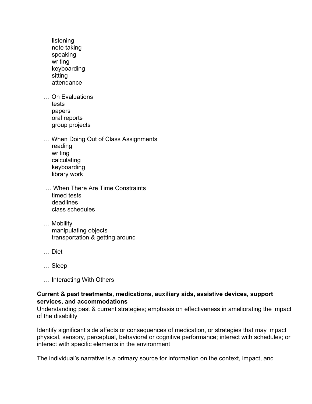- listening note taking speaking writing keyboarding sitting attendance
- … On Evaluations tests papers oral reports group projects
- … When Doing Out of Class Assignments reading writing calculating keyboarding library work
- … When There Are Time Constraints timed tests deadlines class schedules
- … Mobility manipulating objects transportation & getting around
- … Diet
- … Sleep
- … Interacting With Others

#### **Current & past treatments, medications, auxiliary aids, assistive devices, support services, and accommodations**

Understanding past & current strategies; emphasis on effectiveness in ameliorating the impact of the disability

Identify significant side affects or consequences of medication, or strategies that may impact physical, sensory, perceptual, behavioral or cognitive performance; interact with schedules; or interact with specific elements in the environment

The individual's narrative is a primary source for information on the context, impact, and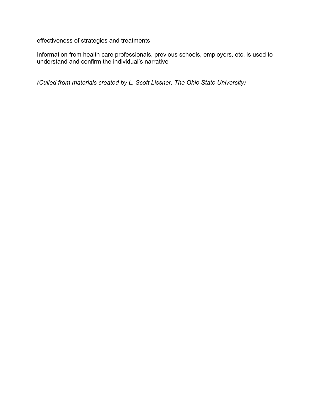effectiveness of strategies and treatments

Information from health care professionals, previous schools, employers, etc. is used to understand and confirm the individual's narrative

*(Culled from materials created by L. Scott Lissner, The Ohio State University)*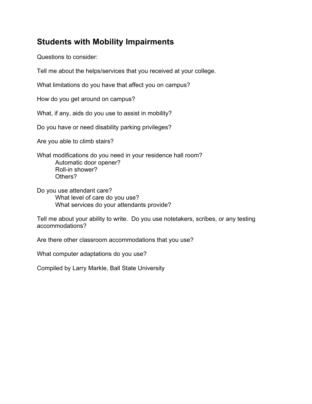## **Students with Mobility Impairments**

Questions to consider:

Tell me about the helps/services that you received at your college.

What limitations do you have that affect you on campus?

How do you get around on campus?

What, if any, aids do you use to assist in mobility?

Do you have or need disability parking privileges?

Are you able to climb stairs?

What modifications do you need in your residence hall room? Automatic door opener? Roll-in shower? Others?

Do you use attendant care? What level of care do you use? What services do your attendants provide?

Tell me about your ability to write. Do you use notetakers, scribes, or any testing accommodations?

Are there other classroom accommodations that you use?

What computer adaptations do you use?

Compiled by Larry Markle, Ball State University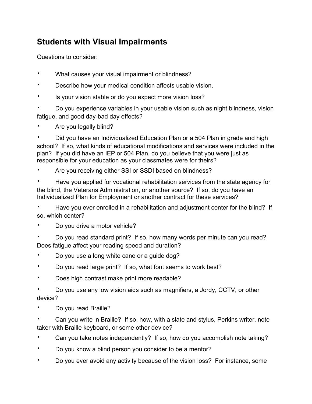## **Students with Visual Impairments**

Questions to consider:

- What causes your visual impairment or blindness?
- Describe how your medical condition affects usable vision.
- Is your vision stable or do you expect more vision loss?

• Do you experience variables in your usable vision such as night blindness, vision fatigue, and good day-bad day effects?

• Are you legally blind?

• Did you have an Individualized Education Plan or a 504 Plan in grade and high school? If so, what kinds of educational modifications and services were included in the plan? If you did have an IEP or 504 Plan, do you believe that you were just as responsible for your education as your classmates were for theirs?

Are you receiving either SSI or SSDI based on blindness?

• Have you applied for vocational rehabilitation services from the state agency for the blind, the Veterans Administration, or another source? If so, do you have an Individualized Plan for Employment or another contract for these services?

• Have you ever enrolled in a rehabilitation and adjustment center for the blind? If so, which center?

- Do you drive a motor vehicle?
- Do you read standard print? If so, how many words per minute can you read? Does fatigue affect your reading speed and duration?
- Do you use a long white cane or a guide dog?
- Do you read large print? If so, what font seems to work best?
- Does high contrast make print more readable?

• Do you use any low vision aids such as magnifiers, a Jordy, CCTV, or other device?

• Do you read Braille?

• Can you write in Braille? If so, how, with a slate and stylus, Perkins writer, note taker with Braille keyboard, or some other device?

- Can you take notes independently? If so, how do you accomplish note taking?
- Do you know a blind person you consider to be a mentor?
- Do you ever avoid any activity because of the vision loss? For instance, some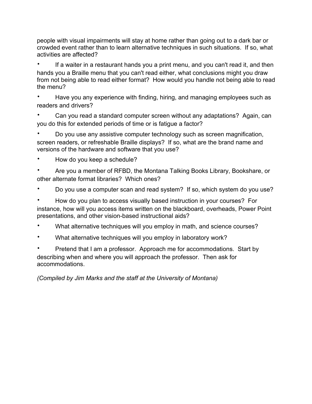people with visual impairments will stay at home rather than going out to a dark bar or crowded event rather than to learn alternative techniques in such situations. If so, what activities are affected?

• If a waiter in a restaurant hands you a print menu, and you can't read it, and then hands you a Braille menu that you can't read either, what conclusions might you draw from not being able to read either format? How would you handle not being able to read the menu?

• Have you any experience with finding, hiring, and managing employees such as readers and drivers?

• Can you read a standard computer screen without any adaptations? Again, can you do this for extended periods of time or is fatigue a factor?

• Do you use any assistive computer technology such as screen magnification, screen readers, or refreshable Braille displays? If so, what are the brand name and versions of the hardware and software that you use?

• How do you keep a schedule?

• Are you a member of RFBD, the Montana Talking Books Library, Bookshare, or other alternate format libraries? Which ones?

• Do you use a computer scan and read system? If so, which system do you use?

• How do you plan to access visually based instruction in your courses? For instance, how will you access items written on the blackboard, overheads, Power Point presentations, and other vision-based instructional aids?

- What alternative techniques will you employ in math, and science courses?
- What alternative techniques will you employ in laboratory work?

• Pretend that I am a professor. Approach me for accommodations. Start by describing when and where you will approach the professor. Then ask for accommodations.

*(Compiled by Jim Marks and the staff at the University of Montana)*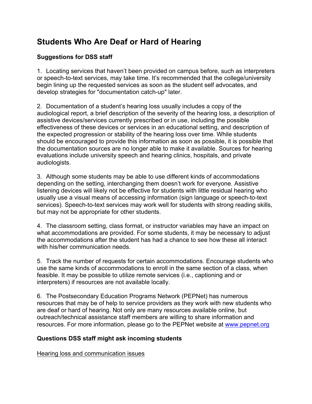## **Students Who Are Deaf or Hard of Hearing**

#### **Suggestions for DSS staff**

1. Locating services that haven't been provided on campus before, such as interpreters or speech-to-text services, may take time. It's recommended that the college/university begin lining up the requested services as soon as the student self advocates, and develop strategies for "documentation catch-up" later.

2. Documentation of a student's hearing loss usually includes a copy of the audiological report, a brief description of the severity of the hearing loss, a description of assistive devices/services currently prescribed or in use, including the possible effectiveness of these devices or services in an educational setting, and description of the expected progression or stability of the hearing loss over time. While students should be encouraged to provide this information as soon as possible, it is possible that the documentation sources are no longer able to make it available. Sources for hearing evaluations include university speech and hearing clinics, hospitals, and private audiologists.

3. Although some students may be able to use different kinds of accommodations depending on the setting, interchanging them doesn't work for everyone. Assistive listening devices will likely not be effective for students with little residual hearing who usually use a visual means of accessing information (sign language or speech-to-text services). Speech-to-text services may work well for students with strong reading skills, but may not be appropriate for other students.

4. The classroom setting, class format, or instructor variables may have an impact on what accommodations are provided. For some students, it may be necessary to adjust the accommodations after the student has had a chance to see how these all interact with his/her communication needs.

5. Track the number of requests for certain accommodations. Encourage students who use the same kinds of accommodations to enroll in the same section of a class, when feasible. It may be possible to utilize remote services (i.e., captioning and or interpreters) if resources are not available locally.

6. The Postsecondary Education Programs Network (PEPNet) has numerous resources that may be of help to service providers as they work with new students who are deaf or hard of hearing. Not only are many resources available online, but outreach/technical assistance staff members are willing to share information and resources. For more information, please go to the PEPNet website at www.pepnet.org

#### **Questions DSS staff might ask incoming students**

Hearing loss and communication issues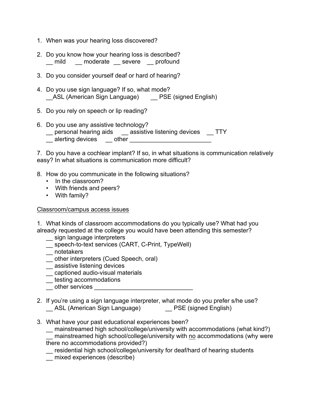- 1. When was your hearing loss discovered?
- 2. Do you know how your hearing loss is described? mild moderate severe profound
- 3. Do you consider yourself deaf or hard of hearing?
- 4. Do you use sign language? If so, what mode? \_\_ASL (American Sign Language) \_\_ PSE (signed English)
- 5. Do you rely on speech or lip reading?
- 6. Do you use any assistive technology? \_\_ personal hearing aids \_\_ assistive listening devices \_\_ TTY alerting devices other **contained**

7. Do you have a cochlear implant? If so, in what situations is communication relatively easy? In what situations is communication more difficult?

- 8. How do you communicate in the following situations?
	- In the classroom?
	- With friends and peers?
	- With family?

#### Classroom/campus access issues

1. What kinds of classroom accommodations do you typically use? What had you already requested at the college you would have been attending this semester?

- \_\_ sign language interpreters
- \_\_ speech-to-text services (CART, C-Print, TypeWell)
- \_\_ notetakers
- \_\_ other interpreters (Cued Speech, oral)
- \_\_ assistive listening devices
- \_\_ captioned audio-visual materials
- **\_\_** testing accommodations
- \_\_ other services \_\_\_\_\_\_\_\_\_\_\_\_\_\_\_\_\_\_\_\_\_\_\_\_\_\_\_\_\_
- 2. If you're using a sign language interpreter, what mode do you prefer s/he use? \_\_ ASL (American Sign Language) \_\_ PSE (signed English)
- 3. What have your past educational experiences been?

\_\_ mainstreamed high school/college/university with accommodations (what kind?) mainstreamed high school/college/university with no accommodations (why were there no accommodations provided?)

residential high school/college/university for deaf/hard of hearing students

 $-$  mixed experiences (describe)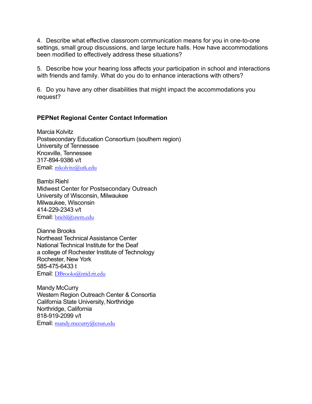4. Describe what effective classroom communication means for you in one-to-one settings, small group discussions, and large lecture halls. How have accommodations been modified to effectively address these situations?

5. Describe how your hearing loss affects your participation in school and interactions with friends and family. What do you do to enhance interactions with others?

6. Do you have any other disabilities that might impact the accommodations you request?

#### **PEPNet Regional Center Contact Information**

Marcia Kolvitz Postsecondary Education Consortium (southern region) University of Tennessee Knoxville, Tennessee 317-894-9386 v/t Email: mkolvitz@utk.edu

Bambi Riehl Midwest Center for Postsecondary Outreach University of Wisconsin, Milwaukee Milwaukee, Wisconsin 414-229-2343 v/t Email: briehl@uwm.edu

Dianne Brooks Northeast Technical Assistance Center National Technical Institute for the Deaf a college of Rochester Institute of Technology Rochester, New York 585-475-6433 t Email: DBrooks@ntid.rit.edu

Mandy McCurry Western Region Outreach Center & Consortia California State University, Northridge Northridge, California 818-919-2099 v/t Email: mandy.mccurry@csun.edu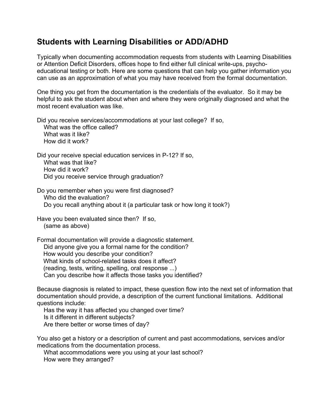## **Students with Learning Disabilities or ADD/ADHD**

Typically when documenting accommodation requests from students with Learning Disabilities or Attention Deficit Disorders, offices hope to find either full clinical write-ups, psychoeducational testing or both. Here are some questions that can help you gather information you can use as an approximation of what you may have received from the formal documentation.

One thing you get from the documentation is the credentials of the evaluator. So it may be helpful to ask the student about when and where they were originally diagnosed and what the most recent evaluation was like.

Did you receive services/accommodations at your last college? If so, What was the office called? What was it like? How did it work?

Did your receive special education services in P-12? If so, What was that like? How did it work? Did you receive service through graduation?

Do you remember when you were first diagnosed? Who did the evaluation? Do you recall anything about it (a particular task or how long it took?)

Have you been evaluated since then? If so, (same as above)

Formal documentation will provide a diagnostic statement. Did anyone give you a formal name for the condition? How would you describe your condition? What kinds of school-related tasks does it affect? (reading, tests, writing, spelling, oral response ...) Can you describe how it affects those tasks you identified?

Because diagnosis is related to impact, these question flow into the next set of information that documentation should provide, a description of the current functional limitations. Additional questions include:

 Has the way it has affected you changed over time? Is it different in different subjects? Are there better or worse times of day?

You also get a history or a description of current and past accommodations, services and/or medications from the documentation process.

 What accommodations were you using at your last school? How were they arranged?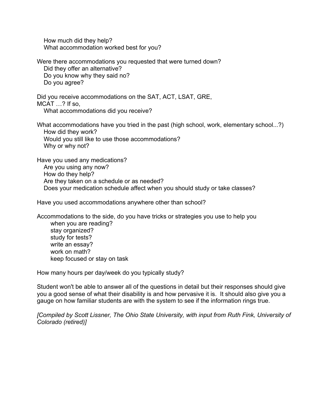How much did they help? What accommodation worked best for you?

Were there accommodations you requested that were turned down? Did they offer an alternative? Do you know why they said no? Do you agree?

Did you receive accommodations on the SAT, ACT, LSAT, GRE, MCAT …? If so, What accommodations did you receive?

What accommodations have you tried in the past (high school, work, elementary school...?) How did they work? Would you still like to use those accommodations? Why or why not?

Have you used any medications? Are you using any now? How do they help? Are they taken on a schedule or as needed? Does your medication schedule affect when you should study or take classes?

Have you used accommodations anywhere other than school?

Accommodations to the side, do you have tricks or strategies you use to help you when you are reading? stay organized? study for tests? write an essay? work on math? keep focused or stay on task

How many hours per day/week do you typically study?

Student won't be able to answer all of the questions in detail but their responses should give you a good sense of what their disability is and how pervasive it is. It should also give you a gauge on how familiar students are with the system to see if the information rings true.

*[Compiled by Scott Lissner, The Ohio State University, with input from Ruth Fink, University of Colorado (retired)]*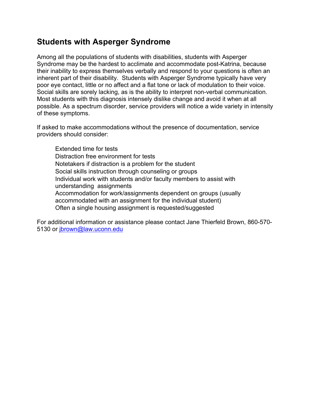### **Students with Asperger Syndrome**

Among all the populations of students with disabilities, students with Asperger Syndrome may be the hardest to acclimate and accommodate post-Katrina, because their inability to express themselves verbally and respond to your questions is often an inherent part of their disability. Students with Asperger Syndrome typically have very poor eye contact, little or no affect and a flat tone or lack of modulation to their voice. Social skills are sorely lacking, as is the ability to interpret non-verbal communication. Most students with this diagnosis intensely dislike change and avoid it when at all possible. As a spectrum disorder, service providers will notice a wide variety in intensity of these symptoms.

If asked to make accommodations without the presence of documentation, service providers should consider:

 Extended time for tests Distraction free environment for tests Notetakers if distraction is a problem for the student Social skills instruction through counseling or groups Individual work with students and/or faculty members to assist with understanding assignments Accommodation for work/assignments dependent on groups (usually accommodated with an assignment for the individual student) Often a single housing assignment is requested/suggested

For additional information or assistance please contact Jane Thierfeld Brown, 860-570- 5130 or jbrown@law.uconn.edu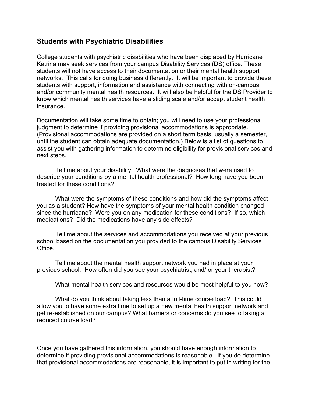#### **Students with Psychiatric Disabilities**

College students with psychiatric disabilities who have been displaced by Hurricane Katrina may seek services from your campus Disability Services (DS) office. These students will not have access to their documentation or their mental health support networks. This calls for doing business differently. It will be important to provide these students with support, information and assistance with connecting with on-campus and/or community mental health resources. It will also be helpful for the DS Provider to know which mental health services have a sliding scale and/or accept student health insurance.

Documentation will take some time to obtain; you will need to use your professional judgment to determine if providing provisional accommodations is appropriate. (Provisional accommodations are provided on a short term basis, usually a semester, until the student can obtain adequate documentation.) Below is a list of questions to assist you with gathering information to determine eligibility for provisional services and next steps.

 Tell me about your disability. What were the diagnoses that were used to describe your conditions by a mental health professional? How long have you been treated for these conditions?

 What were the symptoms of these conditions and how did the symptoms affect you as a student? How have the symptoms of your mental health condition changed since the hurricane? Were you on any medication for these conditions? If so, which medications? Did the medications have any side effects?

 Tell me about the services and accommodations you received at your previous school based on the documentation you provided to the campus Disability Services Office.

 Tell me about the mental health support network you had in place at your previous school. How often did you see your psychiatrist, and/ or your therapist?

What mental health services and resources would be most helpful to you now?

 What do you think about taking less than a full-time course load? This could allow you to have some extra time to set up a new mental health support network and get re-established on our campus? What barriers or concerns do you see to taking a reduced course load?

Once you have gathered this information, you should have enough information to determine if providing provisional accommodations is reasonable. If you do determine that provisional accommodations are reasonable, it is important to put in writing for the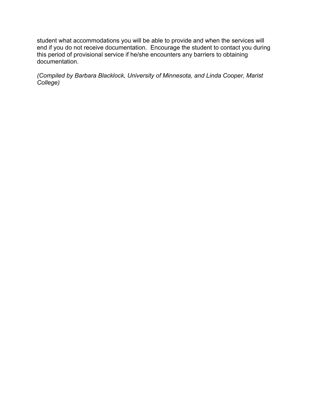student what accommodations you will be able to provide and when the services will end if you do not receive documentation. Encourage the student to contact you during this period of provisional service if he/she encounters any barriers to obtaining documentation.

*(Compiled by Barbara Blacklock, University of Minnesota, and Linda Cooper, Marist College)*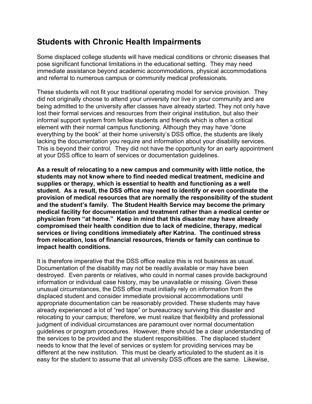## **Students with Chronic Health Impairments**

Some displaced college students will have medical conditions or chronic diseases that pose significant functional limitations in the educational setting. They may need immediate assistance beyond academic accommodations, physical accommodations and referral to numerous campus or community medical professionals.

These students will not fit your traditional operating model for service provision. They did not originally choose to attend your university nor live in your community and are being admitted to the university after classes have already started. They not only have lost their formal services and resources from their original institution, but also their informal support system from fellow students and friends which is often a critical element with their normal campus functioning. Although they may have "done everything by the book" at their home university's DSS office, the students are likely lacking the documentation you require and information about your disability services. This is beyond their control. They did not have the opportunity for an early appointment at your DSS office to learn of services or documentation guidelines.

**As a result of relocating to a new campus and community with little notice, the students may not know where to find needed medical treatment, medicine and supplies or therapy, which is essential to health and functioning as a well student. As a result, the DSS office may need to identify or even coordinate the provision of medical resources that are normally the responsibility of the student and the student's family. The Student Health Service may become the primary medical facility for documentation and treatment rather than a medical center or physician from "at home." Keep in mind that this disaster may have already compromised their health condition due to lack of medicine, therapy, medical services or living conditions immediately after Katrina. The continued stress from relocation, loss of financial resources, friends or family can continue to impact health conditions.** 

It is therefore imperative that the DSS office realize this is not business as usual. Documentation of the disability may not be readily available or may have been destroyed. Even parents or relatives, who could in normal cases provide background information or individual case history, may be unavailable or missing. Given these unusual circumstances, the DSS office must initially rely on information from the displaced student and consider immediate provisional accommodations until appropriate documentation can be reasonably provided. These students may have already experienced a lot of "red tape" or bureaucracy surviving this disaster and relocating to your campus; therefore, we must realize that flexibility and professional judgment of individual circumstances are paramount over normal documentation guidelines or program procedures. However, there should be a clear understanding of the services to be provided and the student responsibilities. The displaced student needs to know that the level of services or system for providing services may be different at the new institution. This must be clearly articulated to the student as it is easy for the student to assume that all university DSS offices are the same. Likewise,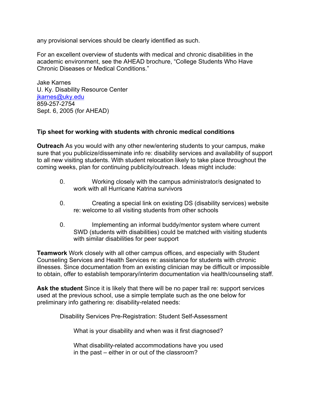any provisional services should be clearly identified as such.

For an excellent overview of students with medical and chronic disabilities in the academic environment, see the AHEAD brochure, "College Students Who Have Chronic Diseases or Medical Conditions."

Jake Karnes U. Ky. Disability Resource Center jkarnes@uky.edu 859-257-2754 Sept. 6, 2005 (for AHEAD)

#### **Tip sheet for working with students with chronic medical conditions**

**Outreach** As you would with any other new/entering students to your campus, make sure that you publicize/disseminate info re: disability services and availability of support to all new visiting students. With student relocation likely to take place throughout the coming weeks, plan for continuing publicity/outreach. Ideas might include:

- 0. Working closely with the campus administrator/s designated to work with all Hurricane Katrina survivors
- 0. Creating a special link on existing DS (disability services) website re: welcome to all visiting students from other schools
- 0. Implementing an informal buddy/mentor system where current SWD (students with disabilities) could be matched with visiting students with similar disabilities for peer support

**Teamwork** Work closely with all other campus offices, and especially with Student Counseling Services and Health Services re: assistance for students with chronic illnesses. Since documentation from an existing clinician may be difficult or impossible to obtain, offer to establish temporary/interim documentation via health/counseling staff.

**Ask the student** Since it is likely that there will be no paper trail re: support services used at the previous school, use a simple template such as the one below for preliminary info gathering re: disability-related needs:

Disability Services Pre-Registration: Student Self-Assessment

What is your disability and when was it first diagnosed?

 What disability-related accommodations have you used in the past – either in or out of the classroom?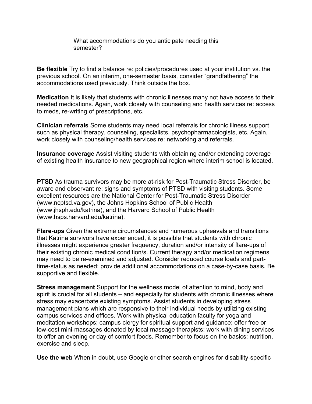What accommodations do you anticipate needing this semester?

**Be flexible** Try to find a balance re: policies/procedures used at your institution vs. the previous school. On an interim, one-semester basis, consider "grandfathering" the accommodations used previously. Think outside the box.

**Medication** It is likely that students with chronic illnesses many not have access to their needed medications. Again, work closely with counseling and health services re: access to meds, re-writing of prescriptions, etc.

**Clinician referrals** Some students may need local referrals for chronic illness support such as physical therapy, counseling, specialists, psychopharmacologists, etc. Again, work closely with counseling/health services re: networking and referrals.

**Insurance coverage** Assist visiting students with obtaining and/or extending coverage of existing health insurance to new geographical region where interim school is located.

**PTSD** As trauma survivors may be more at-risk for Post-Traumatic Stress Disorder, be aware and observant re: signs and symptoms of PTSD with visiting students. Some excellent resources are the National Center for Post-Traumatic Stress Disorder (www.ncptsd.va.gov), the Johns Hopkins School of Public Health (www.jhsph.edu/katrina), and the Harvard School of Public Health (www.hsps.harvard.edu/katrina).

**Flare-ups** Given the extreme circumstances and numerous upheavals and transitions that Katrina survivors have experienced, it is possible that students with chronic illnesses might experience greater frequency, duration and/or intensity of flare-ups of their existing chronic medical condition/s. Current therapy and/or medication regimens may need to be re-examined and adjusted. Consider reduced course loads and parttime-status as needed; provide additional accommodations on a case-by-case basis. Be supportive and flexible.

**Stress management** Support for the wellness model of attention to mind, body and spirit is crucial for all students – and especially for students with chronic illnesses where stress may exacerbate existing symptoms. Assist students in developing stress management plans which are responsive to their individual needs by utilizing existing campus services and offices. Work with physical education faculty for yoga and meditation workshops; campus clergy for spiritual support and guidance; offer free or low-cost mini-massages donated by local massage therapists; work with dining services to offer an evening or day of comfort foods. Remember to focus on the basics: nutrition, exercise and sleep.

**Use the web** When in doubt, use Google or other search engines for disability-specific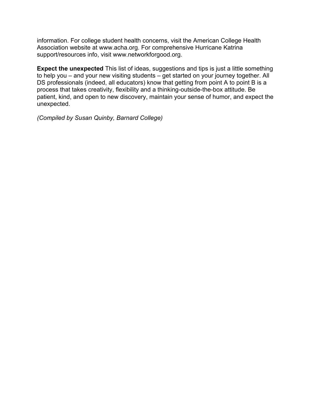information. For college student health concerns, visit the American College Health Association website at www.acha.org. For comprehensive Hurricane Katrina support/resources info, visit www.networkforgood.org.

**Expect the unexpected** This list of ideas, suggestions and tips is just a little something to help you – and your new visiting students – get started on your journey together. All DS professionals (indeed, all educators) know that getting from point A to point B is a process that takes creativity, flexibility and a thinking-outside-the-box attitude. Be patient, kind, and open to new discovery, maintain your sense of humor, and expect the unexpected.

*(Compiled by Susan Quinby, Barnard College)*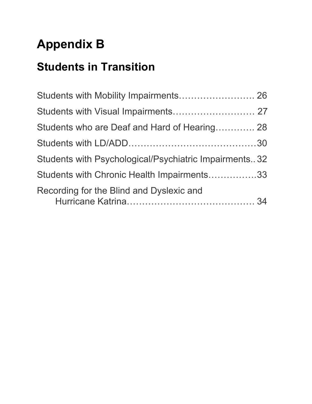# **Appendix B**

# **Students in Transition**

| Students with Mobility Impairments 26                 |  |
|-------------------------------------------------------|--|
| Students with Visual Impairments 27                   |  |
| Students who are Deaf and Hard of Hearing 28          |  |
|                                                       |  |
| Students with Psychological/Psychiatric Impairments32 |  |
| Students with Chronic Health Impairments33            |  |
| Recording for the Blind and Dyslexic and              |  |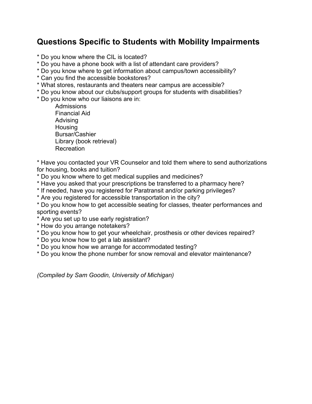## **Questions Specific to Students with Mobility Impairments**

- \* Do you know where the CIL is located?
- \* Do you have a phone book with a list of attendant care providers?
- \* Do you know where to get information about campus/town accessibility?
- \* Can you find the accessible bookstores?
- \* What stores, restaurants and theaters near campus are accessible?
- \* Do you know about our clubs/support groups for students with disabilities?
- \* Do you know who our liaisons are in:
	- **Admissions** Financial Aid Advising **Housing** Bursar/Cashier Library (book retrieval) Recreation

\* Have you contacted your VR Counselor and told them where to send authorizations for housing, books and tuition?

- \* Do you know where to get medical supplies and medicines?
- \* Have you asked that your prescriptions be transferred to a pharmacy here?
- \* If needed, have you registered for Paratransit and/or parking privileges?
- \* Are you registered for accessible transportation in the city?

\* Do you know how to get accessible seating for classes, theater performances and sporting events?

- \* Are you set up to use early registration?
- \* How do you arrange notetakers?
- \* Do you know how to get your wheelchair, prosthesis or other devices repaired?
- \* Do you know how to get a lab assistant?
- \* Do you know how we arrange for accommodated testing?
- \* Do you know the phone number for snow removal and elevator maintenance?

*(Compiled by Sam Goodin, University of Michigan)*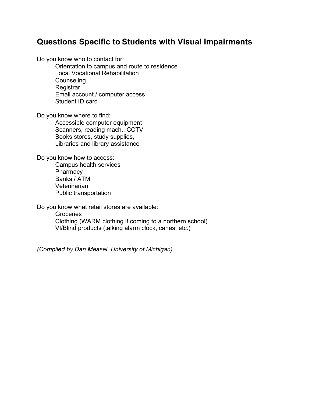### **Questions Specific to Students with Visual Impairments**

Do you know who to contact for:

Orientation to campus and route to residence Local Vocational Rehabilitation **Counseling Registrar** Email account / computer access Student ID card

Do you know where to find:

Accessible computer equipment Scanners, reading mach., CCTV Books stores, study supplies, Libraries and library assistance

Do you know how to access: Campus health services

**Pharmacy** Banks / ATM Veterinarian Public transportation

Do you know what retail stores are available:

**Groceries** Clothing (WARM clothing if coming to a northern school) VI/Blind products (talking alarm clock, canes, etc.)

*(Compiled by Dan Measel, University of Michigan)*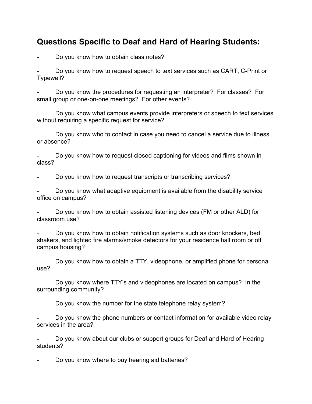## **Questions Specific to Deaf and Hard of Hearing Students:**

Do you know how to obtain class notes?

Do you know how to request speech to text services such as CART, C-Print or Typewell?

Do you know the procedures for requesting an interpreter? For classes? For small group or one-on-one meetings? For other events?

Do you know what campus events provide interpreters or speech to text services without requiring a specific request for service?

Do you know who to contact in case you need to cancel a service due to illness or absence?

Do you know how to request closed captioning for videos and films shown in class?

Do you know how to request transcripts or transcribing services?

Do you know what adaptive equipment is available from the disability service office on campus?

Do you know how to obtain assisted listening devices (FM or other ALD) for classroom use?

Do you know how to obtain notification systems such as door knockers, bed shakers, and lighted fire alarms/smoke detectors for your residence hall room or off campus housing?

Do you know how to obtain a TTY, videophone, or amplified phone for personal use?

Do you know where TTY's and videophones are located on campus? In the surrounding community?

Do you know the number for the state telephone relay system?

Do you know the phone numbers or contact information for available video relay services in the area?

Do you know about our clubs or support groups for Deaf and Hard of Hearing students?

Do you know where to buy hearing aid batteries?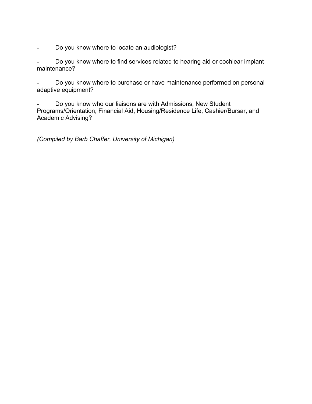Do you know where to locate an audiologist?

Do you know where to find services related to hearing aid or cochlear implant maintenance?

Do you know where to purchase or have maintenance performed on personal adaptive equipment?

Do you know who our liaisons are with Admissions, New Student Programs/Orientation, Financial Aid, Housing/Residence Life, Cashier/Bursar, and Academic Advising?

*(Compiled by Barb Chaffer, University of Michigan)*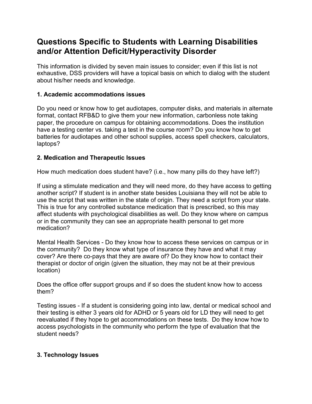## **Questions Specific to Students with Learning Disabilities and/or Attention Deficit/Hyperactivity Disorder**

This information is divided by seven main issues to consider; even if this list is not exhaustive, DSS providers will have a topical basis on which to dialog with the student about his/her needs and knowledge.

#### **1. Academic accommodations issues**

Do you need or know how to get audiotapes, computer disks, and materials in alternate format, contact RFB&D to give them your new information, carbonless note taking paper, the procedure on campus for obtaining accommodations. Does the institution have a testing center vs. taking a test in the course room? Do you know how to get batteries for audiotapes and other school supplies, access spell checkers, calculators, laptops?

#### **2. Medication and Therapeutic Issues**

How much medication does student have? (i.e., how many pills do they have left?)

If using a stimulate medication and they will need more, do they have access to getting another script? If student is in another state besides Louisiana they will not be able to use the script that was written in the state of origin. They need a script from your state. This is true for any controlled substance medication that is prescribed, so this may affect students with psychological disabilities as well. Do they know where on campus or in the community they can see an appropriate health personal to get more medication?

Mental Health Services - Do they know how to access these services on campus or in the community? Do they know what type of insurance they have and what it may cover? Are there co-pays that they are aware of? Do they know how to contact their therapist or doctor of origin (given the situation, they may not be at their previous location)

Does the office offer support groups and if so does the student know how to access them?

Testing issues - If a student is considering going into law, dental or medical school and their testing is either 3 years old for ADHD or 5 years old for LD they will need to get reevaluated if they hope to get accommodations on these tests. Do they know how to access psychologists in the community who perform the type of evaluation that the student needs?

#### **3. Technology Issues**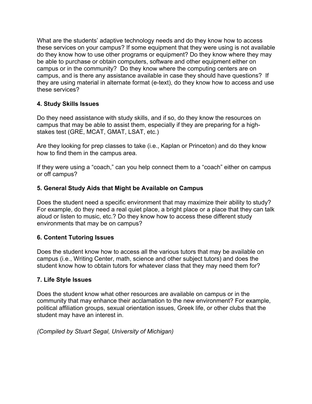What are the students' adaptive technology needs and do they know how to access these services on your campus? If some equipment that they were using is not available do they know how to use other programs or equipment? Do they know where they may be able to purchase or obtain computers, software and other equipment either on campus or in the community? Do they know where the computing centers are on campus, and is there any assistance available in case they should have questions? If they are using material in alternate format (e-text), do they know how to access and use these services?

#### **4. Study Skills Issues**

Do they need assistance with study skills, and if so, do they know the resources on campus that may be able to assist them, especially if they are preparing for a highstakes test (GRE, MCAT, GMAT, LSAT, etc.)

Are they looking for prep classes to take (i.e., Kaplan or Princeton) and do they know how to find them in the campus area.

If they were using a "coach," can you help connect them to a "coach" either on campus or off campus?

#### **5. General Study Aids that Might be Available on Campus**

Does the student need a specific environment that may maximize their ability to study? For example, do they need a real quiet place, a bright place or a place that they can talk aloud or listen to music, etc.? Do they know how to access these different study environments that may be on campus?

#### **6. Content Tutoring Issues**

Does the student know how to access all the various tutors that may be available on campus (i.e., Writing Center, math, science and other subject tutors) and does the student know how to obtain tutors for whatever class that they may need them for?

#### **7. Life Style Issues**

Does the student know what other resources are available on campus or in the community that may enhance their acclamation to the new environment? For example, political affiliation groups, sexual orientation issues, Greek life, or other clubs that the student may have an interest in.

*(Compiled by Stuart Segal, University of Michigan)*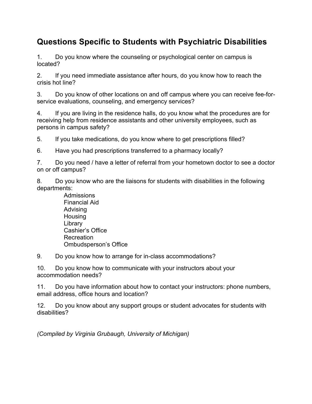## **Questions Specific to Students with Psychiatric Disabilities**

1. Do you know where the counseling or psychological center on campus is located?

2. If you need immediate assistance after hours, do you know how to reach the crisis hot line?

3. Do you know of other locations on and off campus where you can receive fee-forservice evaluations, counseling, and emergency services?

4. If you are living in the residence halls, do you know what the procedures are for receiving help from residence assistants and other university employees, such as persons in campus safety?

5. If you take medications, do you know where to get prescriptions filled?

6. Have you had prescriptions transferred to a pharmacy locally?

7. Do you need / have a letter of referral from your hometown doctor to see a doctor on or off campus?

8. Do you know who are the liaisons for students with disabilities in the following departments:

> Admissions Financial Aid Advising Housing Library Cashier's Office Recreation Ombudsperson's Office

9. Do you know how to arrange for in-class accommodations?

10. Do you know how to communicate with your instructors about your accommodation needs?

11. Do you have information about how to contact your instructors: phone numbers, email address, office hours and location?

12. Do you know about any support groups or student advocates for students with disabilities?

*(Compiled by Virginia Grubaugh, University of Michigan)*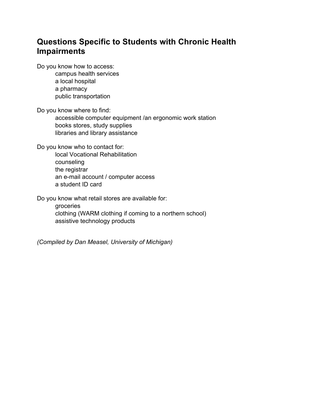## **Questions Specific to Students with Chronic Health Impairments**

Do you know how to access:

 campus health services a local hospital a pharmacy public transportation

Do you know where to find:

 accessible computer equipment /an ergonomic work station books stores, study supplies libraries and library assistance

Do you know who to contact for:

 local Vocational Rehabilitation counseling the registrar an e-mail account / computer access a student ID card

Do you know what retail stores are available for:

 groceries clothing (WARM clothing if coming to a northern school) assistive technology products

*(Compiled by Dan Measel, University of Michigan)*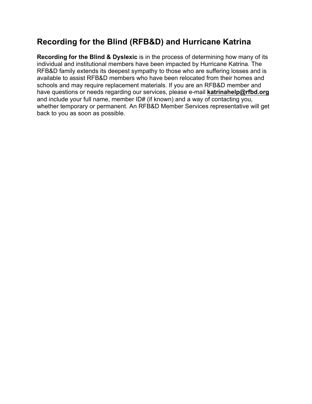## **Recording for the Blind (RFB&D) and Hurricane Katrina**

**Recording for the Blind & Dyslexic** is in the process of determining how many of its individual and institutional members have been impacted by Hurricane Katrina. The RFB&D family extends its deepest sympathy to those who are suffering losses and is available to assist RFB&D members who have been relocated from their homes and schools and may require replacement materials. If you are an RFB&D member and have questions or needs regarding our services, please e-mail **katrinahelp@rfbd.org** and include your full name, member ID# (if known) and a way of contacting you, whether temporary or permanent. An RFB&D Member Services representative will get back to you as soon as possible.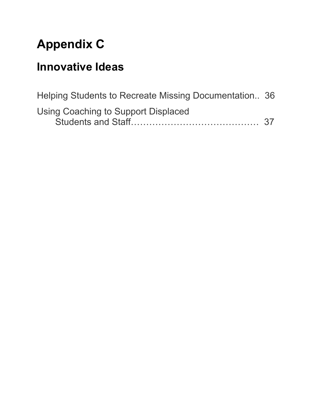# **Appendix C**

## **Innovative Ideas**

| Helping Students to Recreate Missing Documentation 36 |  |
|-------------------------------------------------------|--|
| Using Coaching to Support Displaced                   |  |
|                                                       |  |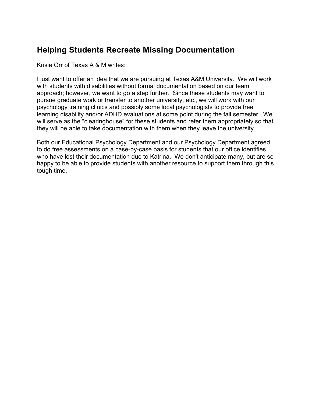## **Helping Students Recreate Missing Documentation**

Krisie Orr of Texas A & M writes:

I just want to offer an idea that we are pursuing at Texas A&M University. We will work with students with disabilities without formal documentation based on our team approach; however, we want to go a step further. Since these students may want to pursue graduate work or transfer to another university, etc., we will work with our psychology training clinics and possibly some local psychologists to provide free learning disability and/or ADHD evaluations at some point during the fall semester. We will serve as the "clearinghouse" for these students and refer them appropriately so that they will be able to take documentation with them when they leave the university.

Both our Educational Psychology Department and our Psychology Department agreed to do free assessments on a case-by-case basis for students that our office identifies who have lost their documentation due to Katrina. We don't anticipate many, but are so happy to be able to provide students with another resource to support them through this tough time.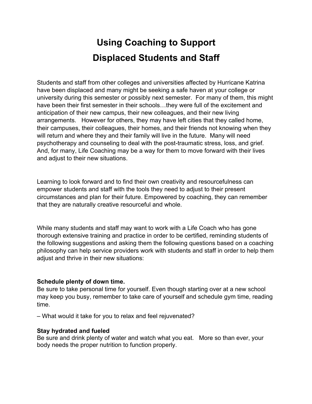## **Using Coaching to Support Displaced Students and Staff**

Students and staff from other colleges and universities affected by Hurricane Katrina have been displaced and many might be seeking a safe haven at your college or university during this semester or possibly next semester. For many of them, this might have been their first semester in their schools…they were full of the excitement and anticipation of their new campus, their new colleagues, and their new living arrangements. However for others, they may have left cities that they called home, their campuses, their colleagues, their homes, and their friends not knowing when they will return and where they and their family will live in the future. Many will need psychotherapy and counseling to deal with the post-traumatic stress, loss, and grief. And, for many, Life Coaching may be a way for them to move forward with their lives and adjust to their new situations.

Learning to look forward and to find their own creativity and resourcefulness can empower students and staff with the tools they need to adjust to their present circumstances and plan for their future. Empowered by coaching, they can remember that they are naturally creative resourceful and whole.

While many students and staff may want to work with a Life Coach who has gone thorough extensive training and practice in order to be certified, reminding students of the following suggestions and asking them the following questions based on a coaching philosophy can help service providers work with students and staff in order to help them adjust and thrive in their new situations:

#### **Schedule plenty of down time.**

Be sure to take personal time for yourself. Even though starting over at a new school may keep you busy, remember to take care of yourself and schedule gym time, reading time.

– What would it take for you to relax and feel rejuvenated?

#### **Stay hydrated and fueled**

Be sure and drink plenty of water and watch what you eat. More so than ever, your body needs the proper nutrition to function properly.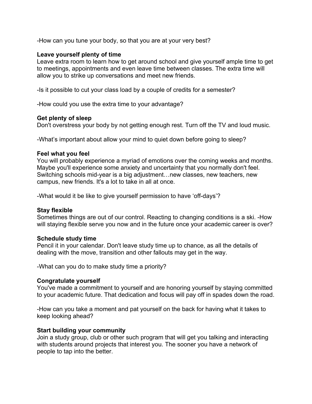-How can you tune your body, so that you are at your very best?

#### **Leave yourself plenty of time**

Leave extra room to learn how to get around school and give yourself ample time to get to meetings, appointments and even leave time between classes. The extra time will allow you to strike up conversations and meet new friends.

-Is it possible to cut your class load by a couple of credits for a semester?

-How could you use the extra time to your advantage?

#### **Get plenty of sleep**

Don't overstress your body by not getting enough rest. Turn off the TV and loud music.

-What's important about allow your mind to quiet down before going to sleep?

#### **Feel what you feel**

You will probably experience a myriad of emotions over the coming weeks and months. Maybe you'll experience some anxiety and uncertainty that you normally don't feel. Switching schools mid-year is a big adjustment…new classes, new teachers, new campus, new friends. It's a lot to take in all at once.

-What would it be like to give yourself permission to have 'off-days'?

#### **Stay flexible**

Sometimes things are out of our control. Reacting to changing conditions is a ski. -How will staying flexible serve you now and in the future once your academic career is over?

#### **Schedule study time**

Pencil it in your calendar. Don't leave study time up to chance, as all the details of dealing with the move, transition and other fallouts may get in the way.

-What can you do to make study time a priority?

#### **Congratulate yourself**

You've made a commitment to yourself and are honoring yourself by staying committed to your academic future. That dedication and focus will pay off in spades down the road.

-How can you take a moment and pat yourself on the back for having what it takes to keep looking ahead?

#### **Start building your community**

Join a study group, club or other such program that will get you talking and interacting with students around projects that interest you. The sooner you have a network of people to tap into the better.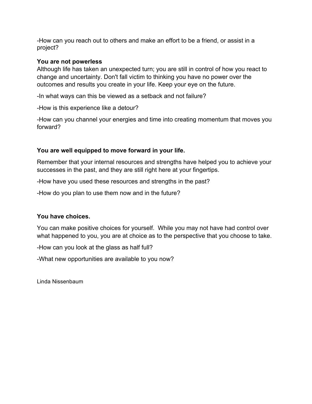-How can you reach out to others and make an effort to be a friend, or assist in a project?

#### **You are not powerless**

Although life has taken an unexpected turn; you are still in control of how you react to change and uncertainty. Don't fall victim to thinking you have no power over the outcomes and results you create in your life. Keep your eye on the future.

-In what ways can this be viewed as a setback and not failure?

-How is this experience like a detour?

-How can you channel your energies and time into creating momentum that moves you forward?

#### **You are well equipped to move forward in your life.**

Remember that your internal resources and strengths have helped you to achieve your successes in the past, and they are still right here at your fingertips.

-How have you used these resources and strengths in the past?

-How do you plan to use them now and in the future?

#### **You have choices.**

You can make positive choices for yourself. While you may not have had control over what happened to you, you are at choice as to the perspective that you choose to take.

-How can you look at the glass as half full?

-What new opportunities are available to you now?

Linda Nissenbaum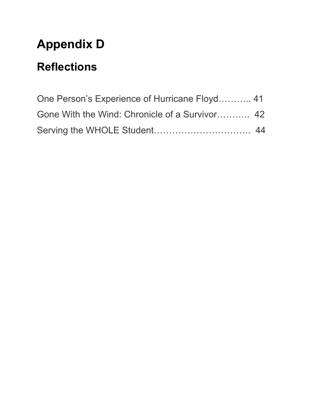# **Appendix D**

# **Reflections**

| One Person's Experience of Hurricane Floyd 41  |  |
|------------------------------------------------|--|
| Gone With the Wind: Chronicle of a Survivor 42 |  |
|                                                |  |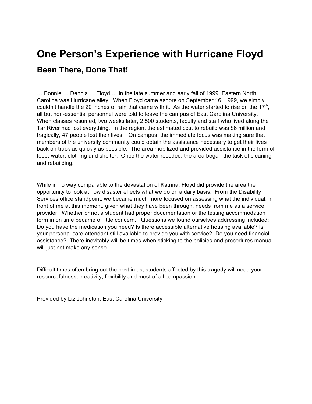## **One Person's Experience with Hurricane Floyd Been There, Done That!**

… Bonnie … Dennis … Floyd … in the late summer and early fall of 1999, Eastern North Carolina was Hurricane alley. When Floyd came ashore on September 16, 1999, we simply couldn't handle the 20 inches of rain that came with it. As the water started to rise on the  $17<sup>th</sup>$ , all but non-essential personnel were told to leave the campus of East Carolina University. When classes resumed, two weeks later, 2,500 students, faculty and staff who lived along the Tar River had lost everything. In the region, the estimated cost to rebuild was \$6 million and tragically, 47 people lost their lives. On campus, the immediate focus was making sure that members of the university community could obtain the assistance necessary to get their lives back on track as quickly as possible. The area mobilized and provided assistance in the form of food, water, clothing and shelter. Once the water receded, the area began the task of cleaning and rebuilding.

While in no way comparable to the devastation of Katrina, Floyd did provide the area the opportunity to look at how disaster effects what we do on a daily basis. From the Disability Services office standpoint, we became much more focused on assessing what the individual, in front of me at this moment, given what they have been through, needs from me as a service provider. Whether or not a student had proper documentation or the testing accommodation form in on time became of little concern. Questions we found ourselves addressing included: Do you have the medication you need? Is there accessible alternative housing available? Is your personal care attendant still available to provide you with service? Do you need financial assistance? There inevitably will be times when sticking to the policies and procedures manual will just not make any sense.

Difficult times often bring out the best in us; students affected by this tragedy will need your resourcefulness, creativity, flexibility and most of all compassion.

Provided by Liz Johnston, East Carolina University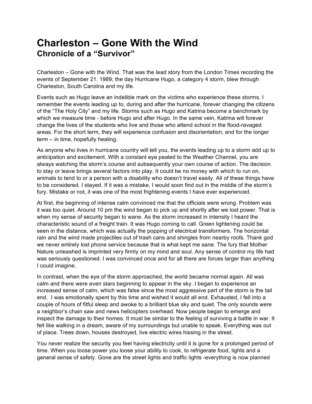## **Charleston – Gone With the Wind Chronicle of a "Survivor"**

Charleston – Gone with the Wind. That was the lead story from the London Times recording the events of September 21, 1989; the day Hurricane Hugo, a category 4 storm, blew through Charleston, South Carolina and my life.

Events such as Hugo leave an indelible mark on the victims who experience these storms. I remember the events leading up to, during and after the hurricane, forever changing the citizens of the "The Holy City" and my life. Storms such as Hugo and Katrina become a benchmark by which we measure time - before Hugo and after Hugo. In the same vein, Katrina will forever change the lives of the students who live and those who attend school in the flood-ravaged areas. For the short term, they will experience confusion and disorientation, and for the longer term – in time, hopefully healing.

As anyone who lives in hurricane country will tell you, the events leading up to a storm add up to anticipation and excitement. With a constant eye pealed to the Weather Channel, you are always watching the storm's course and subsequently your own course of action. The decision to stay or leave brings several factors into play. It could be no money with which to run on, animals to tend to or a person with a disability who doesn't travel easily. All of these things have to be considered. I stayed. If it was a mistake, I would soon find out in the middle of the storm's fury. Mistake or not, it was one of the most frightening events I have ever experienced.

At first, the beginning of intense calm convinced me that the officials were wrong. Problem was it was too quiet. Around 10 pm the wind began to pick up and shortly after we lost power. That is when my sense of security began to wane. As the storm increased in intensity I heard the characteristic sound of a freight train. It was Hugo coming to call. Green lightening could be seen in the distance, which was actually the popping of electrical transformers. The horizontal rain and the wind made projectiles out of trash cans and shingles from nearby roofs. Thank god we never entirely lost phone service because that is what kept me sane. The fury that Mother Nature unleashed is imprinted very firmly on my mind and soul. Any sense of control my life had was seriously questioned. I was convinced once and for all there are forces larger than anything I could imagine.

In contrast, when the eye of the storm approached, the world became normal again. All was calm and there were even stars beginning to appear in the sky. I began to experience an increased sense of calm, which was false since the most aggressive part of the storm is the tail end. I was emotionally spent by this time and wished it would all end. Exhausted, I fell into a couple of hours of fitful sleep and awoke to a brilliant blue sky and quiet. The only sounds were a neighbor's chain saw and news helicopters overhead. Now people began to emerge and inspect the damage to their homes. It must be similar to the feeling of surviving a battle in war. It felt like walking in a dream, aware of my surroundings but unable to speak. Everything was out of place. Trees down, houses destroyed, live electric wires hissing in the street.

You never realize the security you feel having electricity until it is gone for a prolonged period of time. When you loose power you loose your ability to cook, to refrigerate food, lights and a general sense of safety. Gone are the street lights and traffic lights -everything is now planned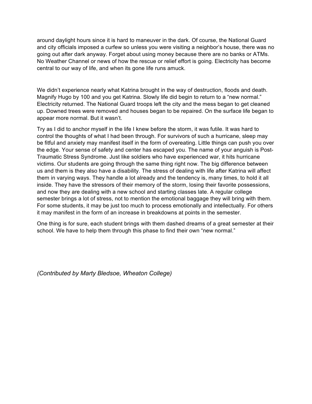around daylight hours since it is hard to maneuver in the dark. Of course, the National Guard and city officials imposed a curfew so unless you were visiting a neighbor's house, there was no going out after dark anyway. Forget about using money because there are no banks or ATMs. No Weather Channel or news of how the rescue or relief effort is going. Electricity has become central to our way of life, and when its gone life runs amuck.

We didn't experience nearly what Katrina brought in the way of destruction, floods and death. Magnify Hugo by 100 and you get Katrina. Slowly life did begin to return to a "new normal." Electricity returned. The National Guard troops left the city and the mess began to get cleaned up. Downed trees were removed and houses began to be repaired. On the surface life began to appear more normal. But it wasn't.

Try as I did to anchor myself in the life I knew before the storm, it was futile. It was hard to control the thoughts of what I had been through. For survivors of such a hurricane, sleep may be fitful and anxiety may manifest itself in the form of overeating. Little things can push you over the edge. Your sense of safety and center has escaped you. The name of your anguish is Post-Traumatic Stress Syndrome. Just like soldiers who have experienced war, it hits hurricane victims. Our students are going through the same thing right now. The big difference between us and them is they also have a disability. The stress of dealing with life after Katrina will affect them in varying ways. They handle a lot already and the tendency is, many times, to hold it all inside. They have the stressors of their memory of the storm, losing their favorite possessions, and now they are dealing with a new school and starting classes late. A regular college semester brings a lot of stress, not to mention the emotional baggage they will bring with them. For some students, it may be just too much to process emotionally and intellectually. For others it may manifest in the form of an increase in breakdowns at points in the semester.

One thing is for sure, each student brings with them dashed dreams of a great semester at their school. We have to help them through this phase to find their own "new normal."

*(Contributed by Marty Bledsoe, Wheaton College)*